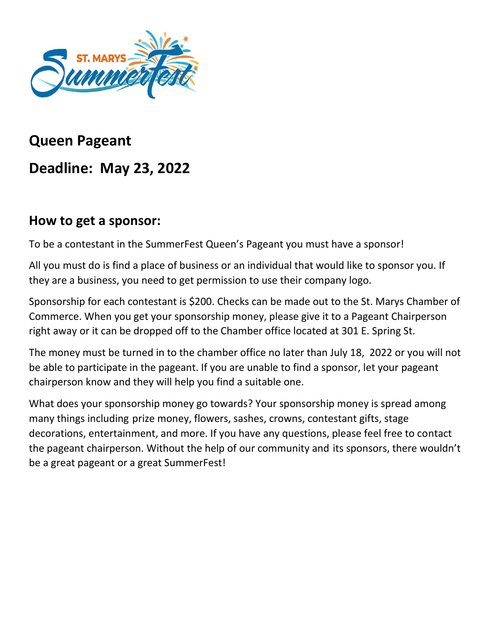

# **Queen Pageant Deadline: May 23, 2022**

### **How to get a sponsor:**

To be a contestant in the SummerFest Queen's Pageant you must have a sponsor!

All you must do is find a place of business or an individual that would like to sponsor you. If they are a business, you need to get permission to use their company logo.

Sponsorship for each contestant is \$200. Checks can be made out to the St. Marys Chamber of Commerce. When you get your sponsorship money, please give it to a Pageant Chairperson right away or it can be dropped off to the Chamber office located at 301 E. Spring St.

The money must be turned in to the chamber office no later than July 18, 2022 or you will not be able to participate in the pageant. If you are unable to find a sponsor, let your pageant chairperson know and they will help you find a suitable one.

What does your sponsorship money go towards? Your sponsorship money is spread among many things including prize money, flowers, sashes, crowns, contestant gifts, stage decorations, entertainment, and more. If you have any questions, please feel free to contact the pageant chairperson. Without the help of our community and its sponsors, there wouldn't be a great pageant or a great SummerFest!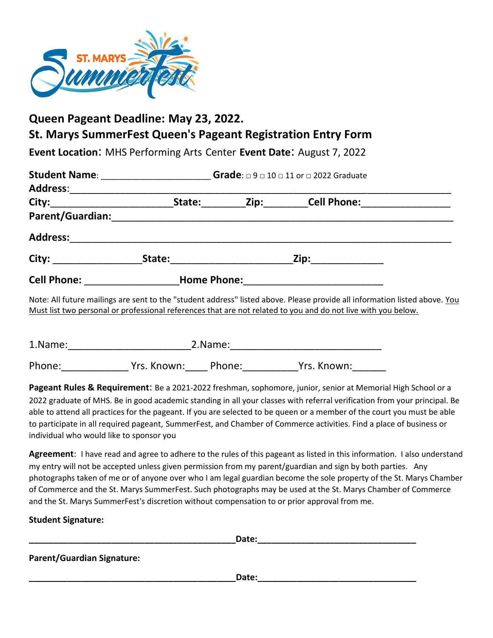

#### **Queen Pageant Deadline: May 23, 2022. St. Marys SummerFest Queen's Pageant Registration Entry Form**

**Event Location**: MHS Performing Arts Center **Event Date**: August 7, 2022

| Student Name: _________________ | Grade: $\Box$ 9 $\Box$ 10 $\Box$ 11 or $\Box$ 2022 Graduate                                                                                                                                                                    |  |                                                    |  |
|---------------------------------|--------------------------------------------------------------------------------------------------------------------------------------------------------------------------------------------------------------------------------|--|----------------------------------------------------|--|
| Address:__________              |                                                                                                                                                                                                                                |  |                                                    |  |
|                                 | State:                                                                                                                                                                                                                         |  | _____Zip:___________Cell Phone:___________________ |  |
|                                 |                                                                                                                                                                                                                                |  |                                                    |  |
| <b>Address:</b>                 |                                                                                                                                                                                                                                |  |                                                    |  |
|                                 | State: will be a state of the state of the state of the state of the state of the state of the state of the state of the state of the state of the state of the state of the state of the state of the state of the state of t |  | Zip: ___________                                   |  |
| Cell Phone: New York Phone:     |                                                                                                                                                                                                                                |  |                                                    |  |
|                                 |                                                                                                                                                                                                                                |  |                                                    |  |

Note: All future mailings are sent to the "student address" listed above. Please provide all information listed above. You Must list two personal or professional references that are not related to you and do not live with you below.

| 1.Name: |             | 2.Name: |             |  |
|---------|-------------|---------|-------------|--|
| Phone:  | Yrs. Known: | Phone:  | Yrs. Known: |  |

**Pageant Rules & Requirement**: Be a 2021-2022 freshman, sophomore, junior, senior at Memorial High School or a 2022 graduate of MHS. Be in good academic standing in all your classes with referral verification from your principal. Be able to attend all practices for the pageant. If you are selected to be queen or a member of the court you must be able to participate in all required pageant, SummerFest, and Chamber of Commerce activities. Find a place of business or individual who would like to sponsor you

**Agreement**: I have read and agree to adhere to the rules of this pageant as listed in this information. I also understand my entry will not be accepted unless given permission from my parent/guardian and sign by both parties.Any photographs taken of me or of anyone over who I am legal guardian become the sole property of the St. Marys Chamber of Commerce and the St. Marys SummerFest. Such photographs may be used at the St. Marys Chamber of Commerce and the St. Marys SummerFest's discretion without compensation to or prior approval from me.

**Student Signature:** 

|                                   | Date: |
|-----------------------------------|-------|
| <b>Parent/Guardian Signature:</b> |       |
|                                   | Date: |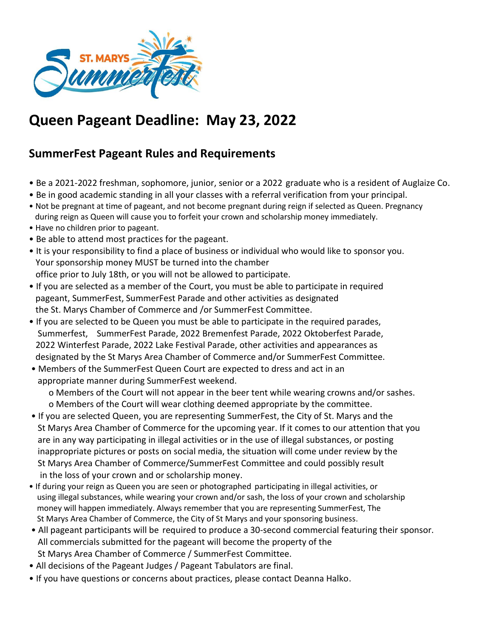

# **Queen Pageant Deadline: May 23, 2022**

#### **SummerFest Pageant Rules and Requirements**

- Be a 2021-2022 freshman, sophomore, junior, senior or a 2022 graduate who is a resident of Auglaize Co.
- Be in good academic standing in all your classes with a referral verification from your principal.
- Not be pregnant at time of pageant, and not become pregnant during reign if selected as Queen. Pregnancy during reign as Queen will cause you to forfeit your crown and scholarship money immediately.
- Have no children prior to pageant.
- Be able to attend most practices for the pageant.
- It is your responsibility to find a place of business or individual who would like to sponsor you. Your sponsorship money MUST be turned into the chamber office prior to July 18th, or you will not be allowed to participate.
- If you are selected as a member of the Court, you must be able to participate in required pageant, SummerFest, SummerFest Parade and other activities as designated the St. Marys Chamber of Commerce and /or SummerFest Committee.
- If you are selected to be Queen you must be able to participate in the required parades, Summerfest, SummerFest Parade, 2022 Bremenfest Parade, 2022 Oktoberfest Parade, 2022 Winterfest Parade, 2022 Lake Festival Parade, other activities and appearances as designated by the St Marys Area Chamber of Commerce and/or SummerFest Committee.
- Members of the SummerFest Queen Court are expected to dress and act in an appropriate manner during SummerFest weekend.

 o Members of the Court will not appear in the beer tent while wearing crowns and/or sashes. o Members of the Court will wear clothing deemed appropriate by the committee.

- If you are selected Queen, you are representing SummerFest, the City of St. Marys and the St Marys Area Chamber of Commerce for the upcoming year. If it comes to our attention that you are in any way participating in illegal activities or in the use of illegal substances, or posting inappropriate pictures or posts on social media, the situation will come under review by the St Marys Area Chamber of Commerce/SummerFest Committee and could possibly result in the loss of your crown and or scholarship money.
- If during your reign as Queen you are seen or photographed participating in illegal activities, or using illegal substances, while wearing your crown and/or sash, the loss of your crown and scholarship money will happen immediately. Always remember that you are representing SummerFest, The St Marys Area Chamber of Commerce, the City of St Marys and your sponsoring business.
- All pageant participants will be required to produce a 30-second commercial featuring their sponsor. All commercials submitted for the pageant will become the property of the St Marys Area Chamber of Commerce / SummerFest Committee.
- All decisions of the Pageant Judges / Pageant Tabulators are final.
- If you have questions or concerns about practices, please contact Deanna Halko.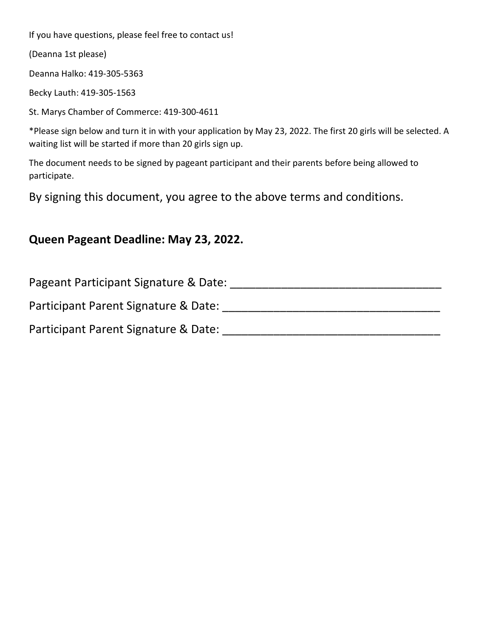If you have questions, please feel free to contact us!

(Deanna 1st please)

Deanna Halko: 419-305-5363

Becky Lauth: 419-305-1563

St. Marys Chamber of Commerce: 419-300-4611

\*Please sign below and turn it in with your application by May 23, 2022. The first 20 girls will be selected. A waiting list will be started if more than 20 girls sign up.

The document needs to be signed by pageant participant and their parents before being allowed to participate.

By signing this document, you agree to the above terms and conditions.

#### **Queen Pageant Deadline: May 23, 2022.**

| Pageant Participant Signature & Date: |  |
|---------------------------------------|--|
| Participant Parent Signature & Date:  |  |
| Participant Parent Signature & Date:  |  |